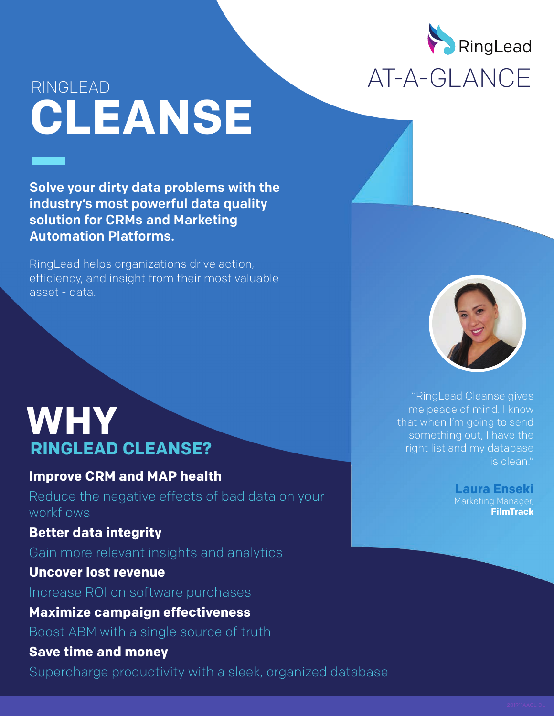

# RINGLEAD **CLEANSE**

Solve your dirty data problems with the industry's most powerful data quality solution for CRMs and Marketing Automation Platforms.

RingLead helps organizations drive action, efficiency, and insight from their most valuable asset - data.

 "RingLead Cleanse gives me peace of mind. I know that when I'm going to send something out, I have the right list and my database is clean."

> **Laura Enseki** Marketing Manager,  **FilmTrack**

# **WHY RINGLEAD CLEANSE?**

## **Improve CRM and MAP health**

Reduce the negative effects of bad data on your workflows

# **Better data integrity**

Gain more relevant insights and analytics

## **Uncover lost revenue**

Increase ROI on software purchases

**Maximize campaign effectiveness**

Boost ABM with a single source of truth

### **Save time and money**

Supercharge productivity with a sleek, organized database